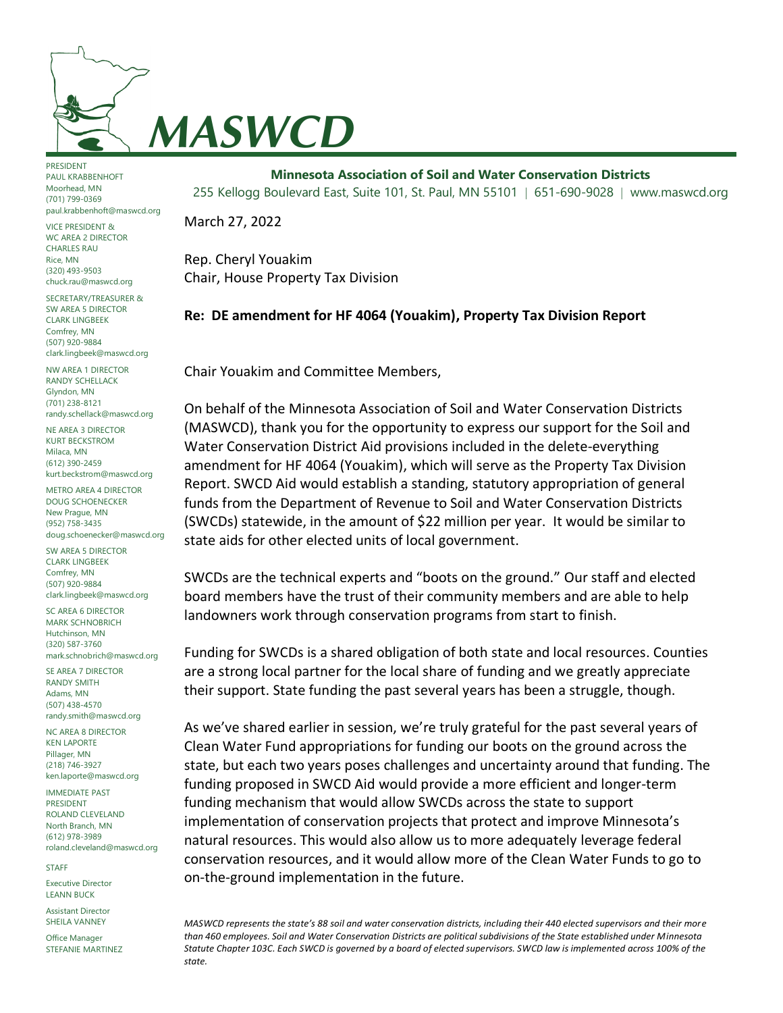

PRESIDENT PAUL KRABBENHOFT Moorhead, MN (701) 799-0369 paul.krabbenhoft@maswcd.org

VICE PRESIDENT & WC AREA 2 DIRECTOR CHARLES RAU Rice, MN (320) 493-9503 chuck.rau@maswcd.org

SECRETARY/TREASURER & SW AREA 5 DIRECTOR CLARK LINGBEEK Comfrey, MN (507) 920-9884 clark.lingbeek@maswcd.org

NW AREA 1 DIRECTOR RANDY SCHELLACK Glyndon, MN (701) 238-8121 randy.schellack@maswcd.org

NE AREA 3 DIRECTOR KURT BECKSTROM Milaca, MN (612) 390-2459 kurt.beckstrom@maswcd.org

METRO AREA 4 DIRECTOR DOUG SCHOENECKER New Prague, MN (952) 758-3435 doug.schoenecker@maswcd.org

SW AREA 5 DIRECTOR CLARK LINGBEEK Comfrey, MN (507) 920-9884 clark.lingbeek@maswcd.org

SC AREA 6 DIRECTOR MARK SCHNOBRICH Hutchinson, MN (320) 587-3760 mark.schnobrich@maswcd.org

SE AREA 7 DIRECTOR RANDY SMITH Adams, MN (507) 438-4570 randy.smith@maswcd.org

NC AREA 8 DIRECTOR KEN LAPORTE Pillager, MN (218) 746-3927 ken.laporte@maswcd.org

IMMEDIATE PAST PRESIDENT ROLAND CLEVELAND North Branch, MN (612) 978-3989 roland.cleveland@maswcd.org

STAFF

Executive Director LEANN BUCK

Assistant Director SHEILA VANNEY

Office Manager STEFANIE MARTINEZ

**Minnesota Association of Soil and Water Conservation Districts** 255 Kellogg Boulevard East, Suite 101, St. Paul, MN 55101  $\mid$  651-690-9028  $\mid$  www.maswcd.org

March 27, 2022

Rep. Cheryl Youakim Chair, House Property Tax Division

## **Re: DE amendment for HF 4064 (Youakim), Property Tax Division Report**

Chair Youakim and Committee Members,

On behalf of the Minnesota Association of Soil and Water Conservation Districts (MASWCD), thank you for the opportunity to express our support for the Soil and Water Conservation District Aid provisions included in the delete-everything amendment for HF 4064 (Youakim), which will serve as the Property Tax Division Report. SWCD Aid would establish a standing, statutory appropriation of general funds from the Department of Revenue to Soil and Water Conservation Districts (SWCDs) statewide, in the amount of \$22 million per year. It would be similar to state aids for other elected units of local government.

SWCDs are the technical experts and "boots on the ground." Our staff and elected board members have the trust of their community members and are able to help landowners work through conservation programs from start to finish.

Funding for SWCDs is a shared obligation of both state and local resources. Counties are a strong local partner for the local share of funding and we greatly appreciate their support. State funding the past several years has been a struggle, though.

As we've shared earlier in session, we're truly grateful for the past several years of Clean Water Fund appropriations for funding our boots on the ground across the state, but each two years poses challenges and uncertainty around that funding. The funding proposed in SWCD Aid would provide a more efficient and longer-term funding mechanism that would allow SWCDs across the state to support implementation of conservation projects that protect and improve Minnesota's natural resources. This would also allow us to more adequately leverage federal conservation resources, and it would allow more of the Clean Water Funds to go to on-the-ground implementation in the future.

*MASWCD represents the state's 88 soil and water conservation districts, including their 440 elected supervisors and their more than 460 employees. Soil and Water Conservation Districts are political subdivisions of the State established under Minnesota Statute Chapter 103C. Each SWCD is governed by a board of elected supervisors. SWCD law is implemented across 100% of the state.*